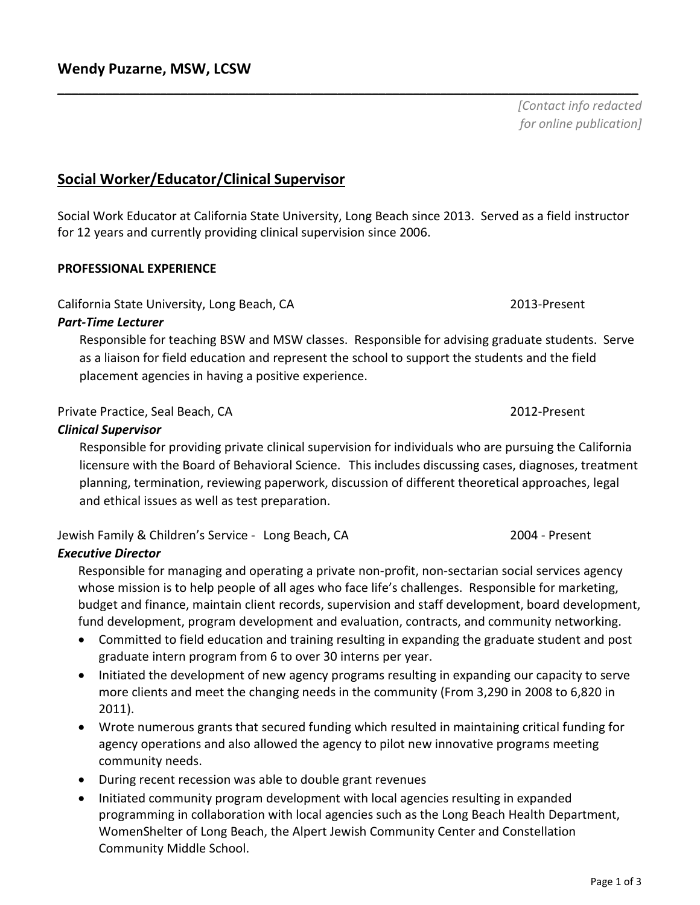**Social Worker/Educator/Clinical Supervisor**

Social Work Educator at California State University, Long Beach since 2013. Served as a field instructor for 12 years and currently providing clinical supervision since 2006.

**\_\_\_\_\_\_\_\_\_\_\_\_\_\_\_\_\_\_\_\_\_\_\_\_\_\_\_\_\_\_\_\_\_\_\_\_\_\_\_\_\_\_\_\_\_\_\_\_\_\_\_\_\_\_\_\_\_\_\_\_\_\_\_\_\_\_\_\_\_\_\_\_\_\_\_\_\_\_\_\_\_\_\_\_\_**

#### **PROFESSIONAL EXPERIENCE**

California State University, Long Beach, CA 2013-Present

#### *Part-Time Lecturer*

Responsible for teaching BSW and MSW classes. Responsible for advising graduate students. Serve as a liaison for field education and represent the school to support the students and the field placement agencies in having a positive experience.

## Private Practice, Seal Beach, CA 2012-Present

#### *Clinical Supervisor*

Responsible for providing private clinical supervision for individuals who are pursuing the California licensure with the Board of Behavioral Science.This includes discussing cases, diagnoses, treatment planning, termination, reviewing paperwork, discussion of different theoretical approaches, legal and ethical issues as well as test preparation.

### Jewish Family & Children's Service - Long Beach, CA 2004 - Present

### *Executive Director*

Responsible for managing and operating a private non-profit, non-sectarian social services agency whose mission is to help people of all ages who face life's challenges. Responsible for marketing, budget and finance, maintain client records, supervision and staff development, board development, fund development, program development and evaluation, contracts, and community networking.

- Committed to field education and training resulting in expanding the graduate student and post graduate intern program from 6 to over 30 interns per year.
- Initiated the development of new agency programs resulting in expanding our capacity to serve more clients and meet the changing needs in the community (From 3,290 in 2008 to 6,820 in 2011).
- Wrote numerous grants that secured funding which resulted in maintaining critical funding for agency operations and also allowed the agency to pilot new innovative programs meeting community needs.
- During recent recession was able to double grant revenues
- Initiated community program development with local agencies resulting in expanded programming in collaboration with local agencies such as the Long Beach Health Department, WomenShelter of Long Beach, the Alpert Jewish Community Center and Constellation Community Middle School.

*[Contact info redacted for online publication]*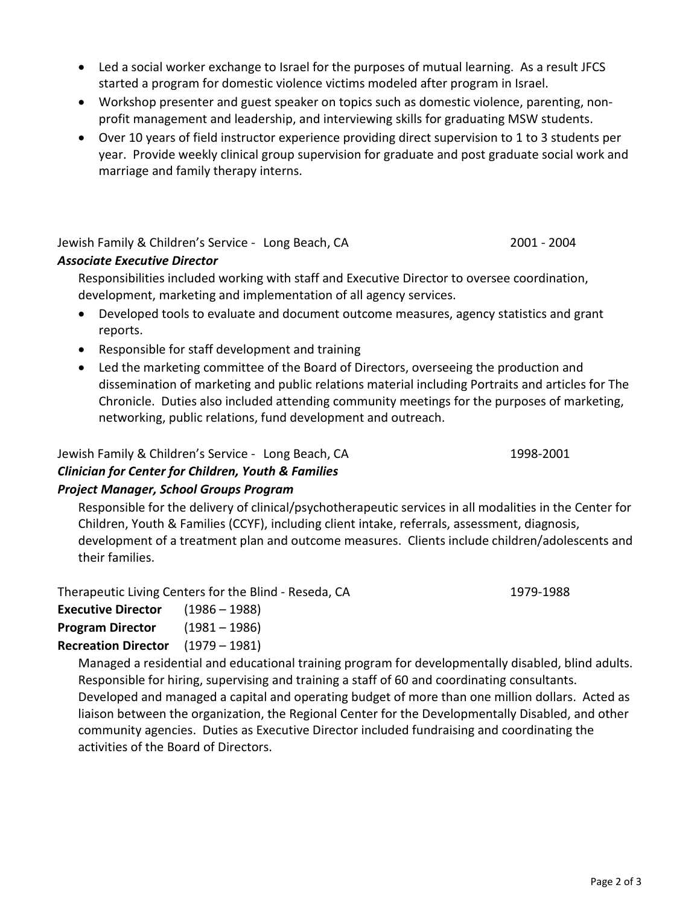- Led a social worker exchange to Israel for the purposes of mutual learning. As a result JFCS started a program for domestic violence victims modeled after program in Israel.
- Workshop presenter and guest speaker on topics such as domestic violence, parenting, nonprofit management and leadership, and interviewing skills for graduating MSW students.
- Over 10 years of field instructor experience providing direct supervision to 1 to 3 students per year. Provide weekly clinical group supervision for graduate and post graduate social work and marriage and family therapy interns.

Jewish Family & Children's Service - Long Beach, CA 2001 - 2004

# *Associate Executive Director*

Responsibilities included working with staff and Executive Director to oversee coordination, development, marketing and implementation of all agency services.

- Developed tools to evaluate and document outcome measures, agency statistics and grant reports.
- Responsible for staff development and training
- Led the marketing committee of the Board of Directors, overseeing the production and dissemination of marketing and public relations material including Portraits and articles for The Chronicle. Duties also included attending community meetings for the purposes of marketing, networking, public relations, fund development and outreach.

Jewish Family & Children's Service - Long Beach, CA 1998-2001 *Clinician for Center for Children, Youth & Families Project Manager, School Groups Program*

Responsible for the delivery of clinical/psychotherapeutic services in all modalities in the Center for Children, Youth & Families (CCYF), including client intake, referrals, assessment, diagnosis, development of a treatment plan and outcome measures. Clients include children/adolescents and their families.

Therapeutic Living Centers for the Blind - Reseda, CA 1979-1988

| <b>Executive Director</b>  | $(1986 - 1988)$ |
|----------------------------|-----------------|
| <b>Program Director</b>    | $(1981 - 1986)$ |
| <b>Recreation Director</b> | $(1979 - 1981)$ |

Managed a residential and educational training program for developmentally disabled, blind adults. Responsible for hiring, supervising and training a staff of 60 and coordinating consultants. Developed and managed a capital and operating budget of more than one million dollars. Acted as liaison between the organization, the Regional Center for the Developmentally Disabled, and other community agencies. Duties as Executive Director included fundraising and coordinating the activities of the Board of Directors.